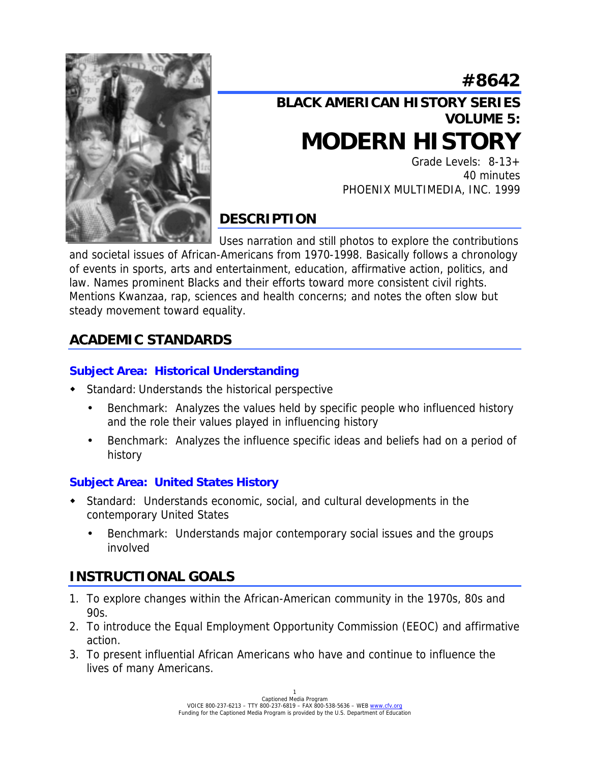# **#8642**



# **BLACK AMERICAN HISTORY SERIES VOLUME 5: MODERN HISTORY**

Grade Levels: 8-13+ 40 minutes PHOENIX MULTIMEDIA, INC. 1999

## **DESCRIPTION**

Uses narration and still photos to explore the contributions and societal issues of African-Americans from 1970-1998. Basically follows a chronology of events in sports, arts and entertainment, education, affirmative action, politics, and law. Names prominent Blacks and their efforts toward more consistent civil rights. Mentions Kwanzaa, rap, sciences and health concerns; and notes the often slow but steady movement toward equality.

## **ACADEMIC STANDARDS**

#### **Subject Area: Historical Understanding**

- ! Standard: Understands the historical perspective
	- Benchmark: Analyzes the values held by specific people who influenced history and the role their values played in influencing history
	- Benchmark: Analyzes the influence specific ideas and beliefs had on a period of history

#### **Subject Area: United States History**

- ! Standard: Understands economic, social, and cultural developments in the contemporary United States
	- Benchmark: Understands major contemporary social issues and the groups involved

## **INSTRUCTIONAL GOALS**

- 1. To explore changes within the African-American community in the 1970s, 80s and 90s.
- 2. To introduce the Equal Employment Opportunity Commission (EEOC) and affirmative action.
- 3. To present influential African Americans who have and continue to influence the lives of many Americans.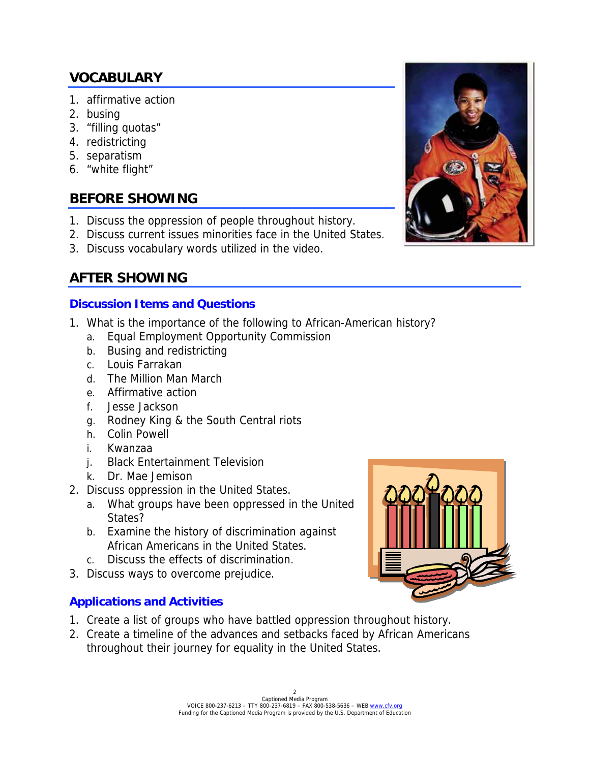### **VOCABULARY**

- 1. affirmative action
- 2. busing
- 3. "filling quotas"
- 4. redistricting
- 5. separatism
- 6. "white flight"

### **BEFORE SHOWING**

- 1. Discuss the oppression of people throughout history.
- 2. Discuss current issues minorities face in the United States.
- 3. Discuss vocabulary words utilized in the video.

### **AFTER SHOWING**

#### **Discussion Items and Questions**

- 1. What is the importance of the following to African-American history?
	- a. Equal Employment Opportunity Commission
	- b. Busing and redistricting
	- c. Louis Farrakan
	- d. The Million Man March
	- e. Affirmative action
	- f. Jesse Jackson
	- g. Rodney King & the South Central riots
	- h. Colin Powell
	- i. Kwanzaa
	- j. Black Entertainment Television
	- k. Dr. Mae Jemison
- 2. Discuss oppression in the United States.
	- a. What groups have been oppressed in the United States?
	- b. Examine the history of discrimination against African Americans in the United States.
	- c. Discuss the effects of discrimination.
- 3. Discuss ways to overcome prejudice.

#### **Applications and Activities**

- 1. Create a list of groups who have battled oppression throughout history.
- 2. Create a timeline of the advances and setbacks faced by African Americans throughout their journey for equality in the United States.





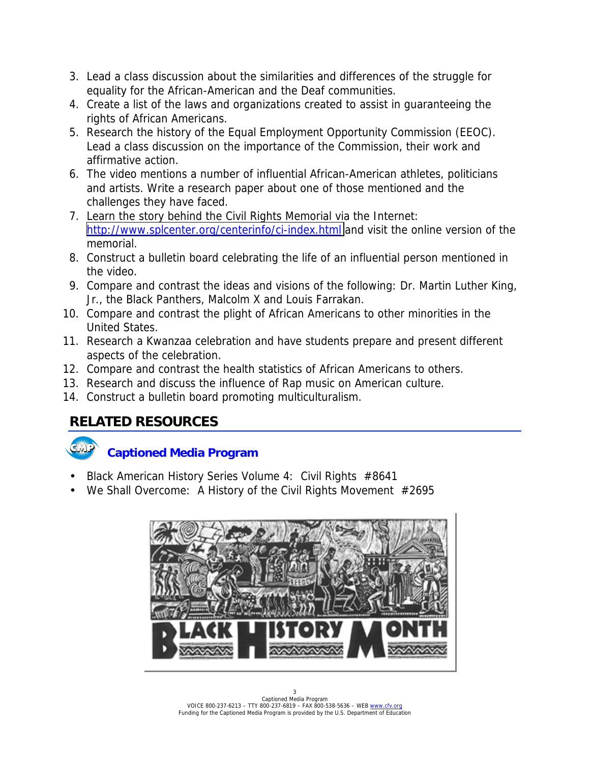- 3. Lead a class discussion about the similarities and differences of the struggle for equality for the African-American and the Deaf communities.
- 4. Create a list of the laws and organizations created to assist in guaranteeing the rights of African Americans.
- 5. Research the history of the Equal Employment Opportunity Commission (EEOC). Lead a class discussion on the importance of the Commission, their work and affirmative action.
- 6. The video mentions a number of influential African-American athletes, politicians and artists. Write a research paper about one of those mentioned and the challenges they have faced.
- 7. Learn the story behind the Civil Rights Memorial via the Internet: <http://www.splcenter.org/centerinfo/ci-index.html>and visit the online version of the memorial.
- 8. Construct a bulletin board celebrating the life of an influential person mentioned in the video.
- 9. Compare and contrast the ideas and visions of the following: Dr. Martin Luther King, Jr., the Black Panthers, Malcolm X and Louis Farrakan.
- 10. Compare and contrast the plight of African Americans to other minorities in the United States.
- 11. Research a Kwanzaa celebration and have students prepare and present different aspects of the celebration.
- 12. Compare and contrast the health statistics of African Americans to others.
- 13. Research and discuss the influence of Rap music on American culture.
- 14. Construct a bulletin board promoting multiculturalism.

### **RELATED RESOURCES**

### **Captioned Media Program**

- Black American History Series Volume 4: Civil Rights #8641
- We Shall Overcome: A History of the Civil Rights Movement #2695